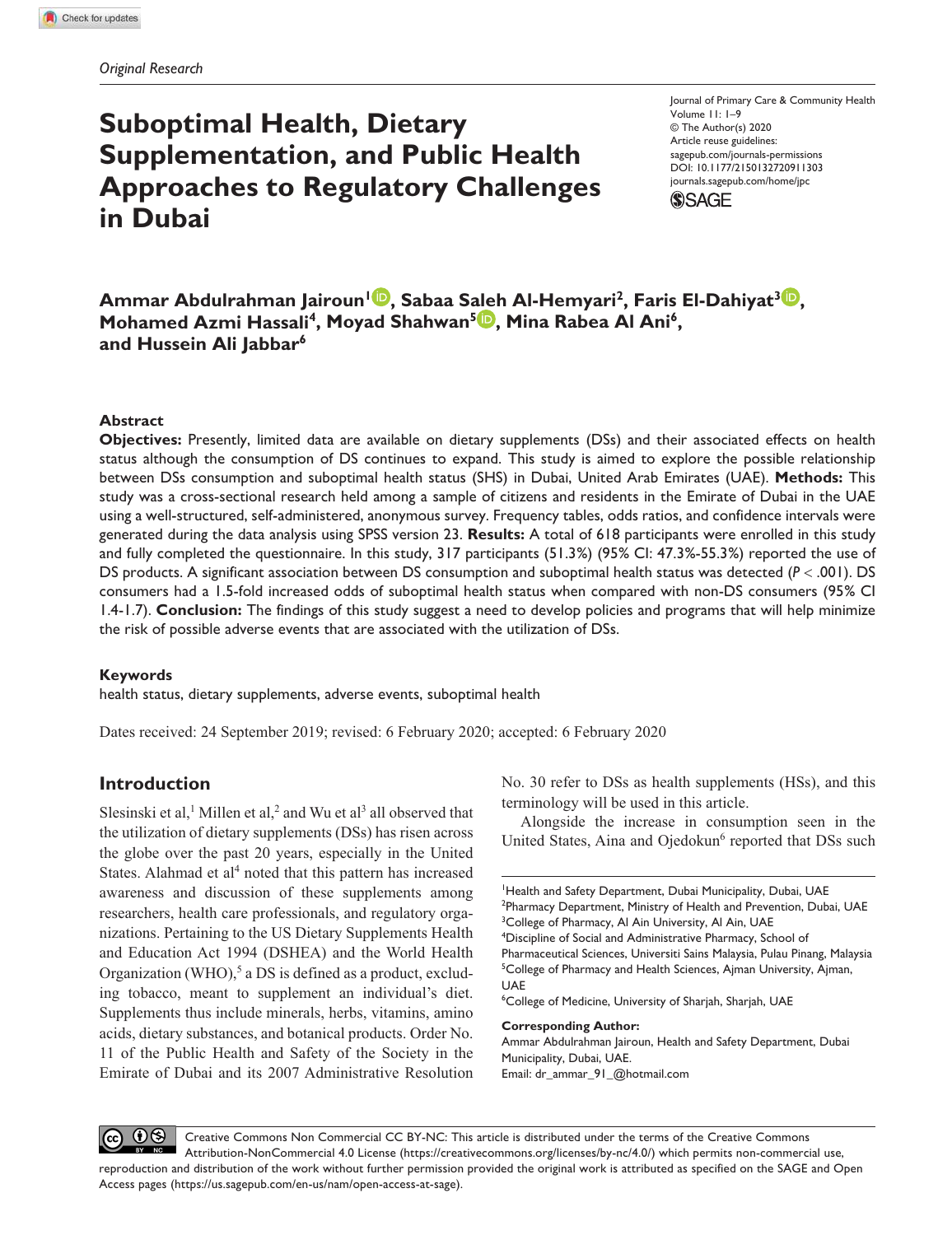# **Suboptimal Health, Dietary Supplementation, and Public Health Approaches to Regulatory Challenges in Dubai**

https://doi.org/10.1177/2150132720911303 DOI: 10.1177/2150132720911303 Journal of Primary Care & Community Health Volume 11: 1-9 © The Author(s) 2020 Article reuse guidelines: sagepub.com/journals-permissions journals.sagepub.com/home/jpc



**Ammar Abdulrahman Jairoun<sup>1</sup> , Sabaa Saleh Al-Hemyari<sup>2</sup> , Faris El-Dahiyat<sup>3</sup> , Mohamed Azmi Hassali<sup>4</sup>, Moyad Shahwan<sup>5</sup><sup>(D</sup>), Mina Rabea Al Ani<sup>6</sup>, and Hussein Ali Jabbar<sup>6</sup>**

#### **Abstract**

**Objectives:** Presently, limited data are available on dietary supplements (DSs) and their associated effects on health status although the consumption of DS continues to expand. This study is aimed to explore the possible relationship between DSs consumption and suboptimal health status (SHS) in Dubai, United Arab Emirates (UAE). **Methods:** This study was a cross-sectional research held among a sample of citizens and residents in the Emirate of Dubai in the UAE using a well-structured, self-administered, anonymous survey. Frequency tables, odds ratios, and confidence intervals were generated during the data analysis using SPSS version 23. **Results:** A total of 618 participants were enrolled in this study and fully completed the questionnaire. In this study, 317 participants (51.3%) (95% CI: 47.3%-55.3%) reported the use of DS products. A significant association between DS consumption and suboptimal health status was detected (*P* < .001). DS consumers had a 1.5-fold increased odds of suboptimal health status when compared with non-DS consumers (95% CI 1.4-1.7). **Conclusion:** The findings of this study suggest a need to develop policies and programs that will help minimize the risk of possible adverse events that are associated with the utilization of DSs.

## **Keywords**

health status, dietary supplements, adverse events, suboptimal health

Dates received: 24 September 2019; revised: 6 February 2020; accepted: 6 February 2020

## **Introduction**

Slesinski et al,<sup>1</sup> Millen et al,<sup>2</sup> and Wu et al<sup>3</sup> all observed that the utilization of dietary supplements (DSs) has risen across the globe over the past 20 years, especially in the United States. Alahmad et al<sup>4</sup> noted that this pattern has increased awareness and discussion of these supplements among researchers, health care professionals, and regulatory organizations. Pertaining to the US Dietary Supplements Health and Education Act 1994 (DSHEA) and the World Health Organization (WHO),<sup>5</sup> a DS is defined as a product, excluding tobacco, meant to supplement an individual's diet. Supplements thus include minerals, herbs, vitamins, amino acids, dietary substances, and botanical products. Order No. 11 of the Public Health and Safety of the Society in the Emirate of Dubai and its 2007 Administrative Resolution

No. 30 refer to DSs as health supplements (HSs), and this terminology will be used in this article.

Alongside the increase in consumption seen in the United States, Aina and Ojedokun<sup>6</sup> reported that DSs such

<sup>4</sup>Discipline of Social and Administrative Pharmacy, School of Pharmaceutical Sciences, Universiti Sains Malaysia, Pulau Pinang, Malaysia

<sup>5</sup>College of Pharmacy and Health Sciences, Ajman University, Ajman, UAE

<sup>6</sup>College of Medicine, University of Sharjah, Sharjah, UAE

**Corresponding Author:**

Ammar Abdulrahman Jairoun, Health and Safety Department, Dubai Municipality, Dubai, UAE. Email: dr\_ammar\_91\_@hotmail.com

Creative Commons Non Commercial CC BY-NC: This article is distributed under the terms of the Creative Commons Attribution-NonCommercial 4.0 License (https://creativecommons.org/licenses/by-nc/4.0/) which permits non-commercial use, reproduction and distribution of the work without further permission provided the original work is attributed as specified on the SAGE and Open Access pages (https://us.sagepub.com/en-us/nam/open-access-at-sage).

<sup>&</sup>lt;sup>1</sup>Health and Safety Department, Dubai Municipality, Dubai, UAE <sup>2</sup>Pharmacy Department, Ministry of Health and Prevention, Dubai, UAE <sup>3</sup>College of Pharmacy, Al Ain University, Al Ain, UAE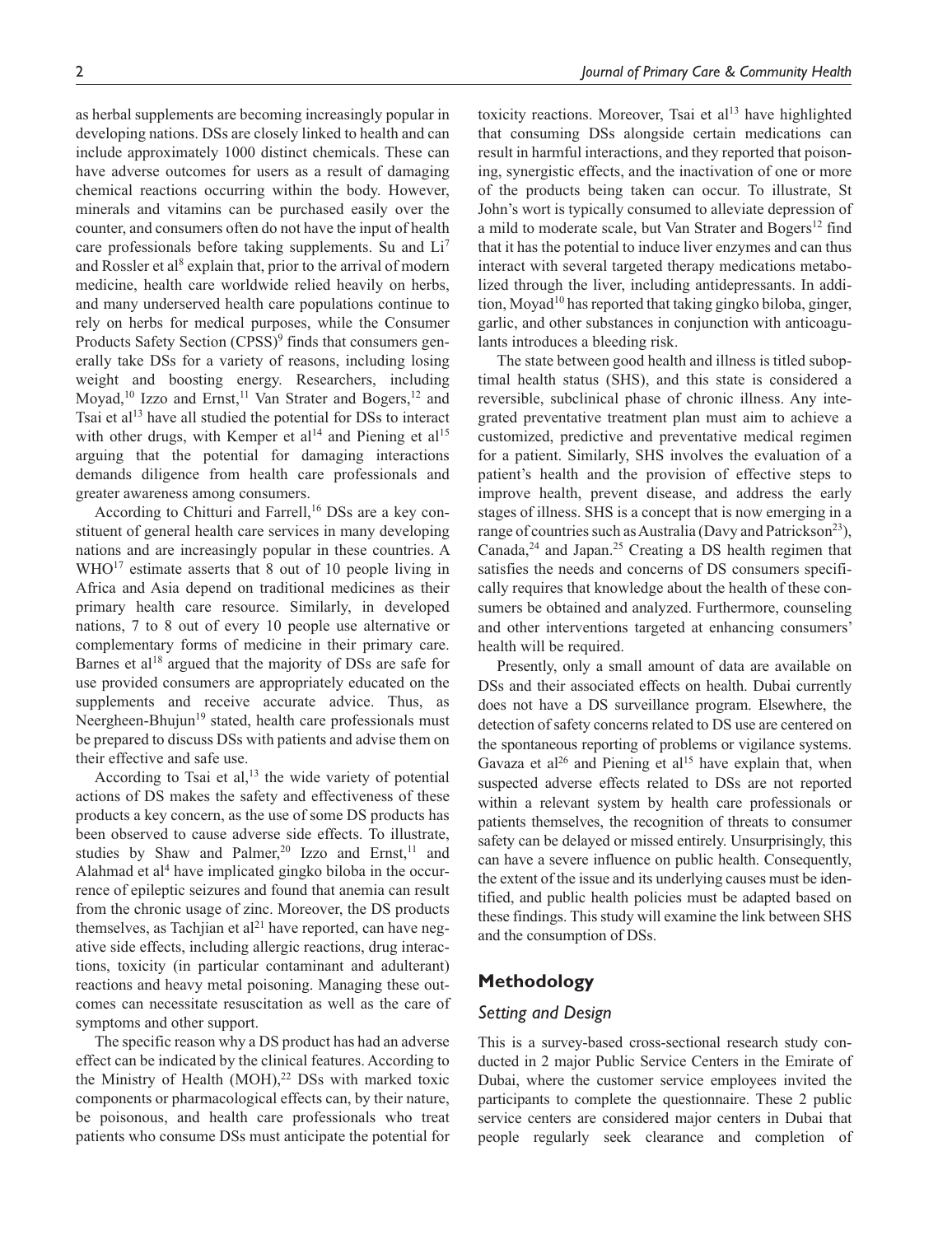as herbal supplements are becoming increasingly popular in developing nations. DSs are closely linked to health and can include approximately 1000 distinct chemicals. These can have adverse outcomes for users as a result of damaging chemical reactions occurring within the body. However, minerals and vitamins can be purchased easily over the counter, and consumers often do not have the input of health care professionals before taking supplements. Su and Li<sup>7</sup> and Rossler et al<sup>8</sup> explain that, prior to the arrival of modern medicine, health care worldwide relied heavily on herbs, and many underserved health care populations continue to rely on herbs for medical purposes, while the Consumer Products Safety Section (CPSS)<sup>9</sup> finds that consumers generally take DSs for a variety of reasons, including losing weight and boosting energy. Researchers, including Moyad,<sup>10</sup> Izzo and Ernst,<sup>11</sup> Van Strater and Bogers,<sup>12</sup> and Tsai et al<sup>13</sup> have all studied the potential for DSs to interact with other drugs, with Kemper et al<sup>14</sup> and Piening et al<sup>15</sup> arguing that the potential for damaging interactions demands diligence from health care professionals and greater awareness among consumers.

According to Chitturi and Farrell,<sup>16</sup> DSs are a key constituent of general health care services in many developing nations and are increasingly popular in these countries. A WHO<sup>17</sup> estimate asserts that 8 out of 10 people living in Africa and Asia depend on traditional medicines as their primary health care resource. Similarly, in developed nations, 7 to 8 out of every 10 people use alternative or complementary forms of medicine in their primary care. Barnes et al<sup>18</sup> argued that the majority of DSs are safe for use provided consumers are appropriately educated on the supplements and receive accurate advice. Thus, as Neergheen-Bhujun<sup>19</sup> stated, health care professionals must be prepared to discuss DSs with patients and advise them on their effective and safe use.

According to Tsai et al, $13$  the wide variety of potential actions of DS makes the safety and effectiveness of these products a key concern, as the use of some DS products has been observed to cause adverse side effects. To illustrate, studies by Shaw and Palmer,<sup>20</sup> Izzo and Ernst,<sup>11</sup> and Alahmad et al<sup>4</sup> have implicated gingko biloba in the occurrence of epileptic seizures and found that anemia can result from the chronic usage of zinc. Moreover, the DS products themselves, as Tachjian et al<sup>21</sup> have reported, can have negative side effects, including allergic reactions, drug interactions, toxicity (in particular contaminant and adulterant) reactions and heavy metal poisoning. Managing these outcomes can necessitate resuscitation as well as the care of symptoms and other support.

The specific reason why a DS product has had an adverse effect can be indicated by the clinical features. According to the Ministry of Health (MOH), $22$  DSs with marked toxic components or pharmacological effects can, by their nature, be poisonous, and health care professionals who treat patients who consume DSs must anticipate the potential for toxicity reactions. Moreover, Tsai et al $^{13}$  have highlighted that consuming DSs alongside certain medications can result in harmful interactions, and they reported that poisoning, synergistic effects, and the inactivation of one or more of the products being taken can occur. To illustrate, St John's wort is typically consumed to alleviate depression of a mild to moderate scale, but Van Strater and Bogers<sup>12</sup> find that it has the potential to induce liver enzymes and can thus interact with several targeted therapy medications metabolized through the liver, including antidepressants. In addition, Moyad<sup>10</sup> has reported that taking gingko biloba, ginger, garlic, and other substances in conjunction with anticoagulants introduces a bleeding risk.

The state between good health and illness is titled suboptimal health status (SHS), and this state is considered a reversible, subclinical phase of chronic illness. Any integrated preventative treatment plan must aim to achieve a customized, predictive and preventative medical regimen for a patient. Similarly, SHS involves the evaluation of a patient's health and the provision of effective steps to improve health, prevent disease, and address the early stages of illness. SHS is a concept that is now emerging in a range of countries such as Australia (Davy and Patrickson<sup>23</sup>), Canada, $24$  and Japan. $25$  Creating a DS health regimen that satisfies the needs and concerns of DS consumers specifically requires that knowledge about the health of these consumers be obtained and analyzed. Furthermore, counseling and other interventions targeted at enhancing consumers' health will be required.

Presently, only a small amount of data are available on DSs and their associated effects on health. Dubai currently does not have a DS surveillance program. Elsewhere, the detection of safety concerns related to DS use are centered on the spontaneous reporting of problems or vigilance systems. Gavaza et al<sup>26</sup> and Piening et al<sup>15</sup> have explain that, when suspected adverse effects related to DSs are not reported within a relevant system by health care professionals or patients themselves, the recognition of threats to consumer safety can be delayed or missed entirely. Unsurprisingly, this can have a severe influence on public health. Consequently, the extent of the issue and its underlying causes must be identified, and public health policies must be adapted based on these findings. This study will examine the link between SHS and the consumption of DSs.

## **Methodology**

## *Setting and Design*

This is a survey-based cross-sectional research study conducted in 2 major Public Service Centers in the Emirate of Dubai, where the customer service employees invited the participants to complete the questionnaire. These 2 public service centers are considered major centers in Dubai that people regularly seek clearance and completion of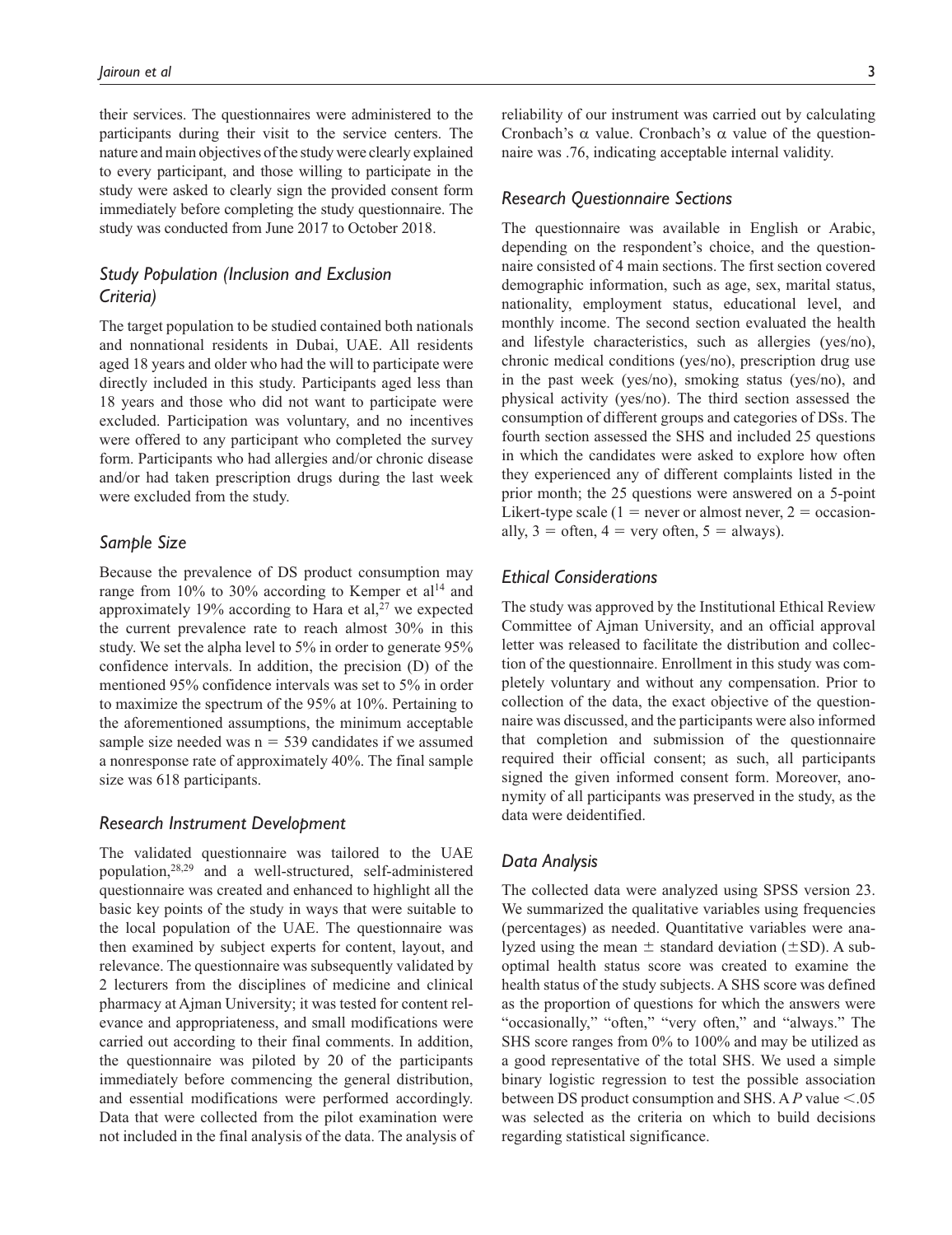their services. The questionnaires were administered to the participants during their visit to the service centers. The nature and main objectives of the study were clearly explained to every participant, and those willing to participate in the study were asked to clearly sign the provided consent form immediately before completing the study questionnaire. The study was conducted from June 2017 to October 2018.

# *Study Population (Inclusion and Exclusion Criteria)*

The target population to be studied contained both nationals and nonnational residents in Dubai, UAE. All residents aged 18 years and older who had the will to participate were directly included in this study. Participants aged less than 18 years and those who did not want to participate were excluded. Participation was voluntary, and no incentives were offered to any participant who completed the survey form. Participants who had allergies and/or chronic disease and/or had taken prescription drugs during the last week were excluded from the study.

#### *Sample Size*

Because the prevalence of DS product consumption may range from 10% to 30% according to Kemper et  $al<sup>14</sup>$  and approximately 19% according to Hara et al,<sup>27</sup> we expected the current prevalence rate to reach almost 30% in this study. We set the alpha level to 5% in order to generate 95% confidence intervals. In addition, the precision (D) of the mentioned 95% confidence intervals was set to 5% in order to maximize the spectrum of the 95% at 10%. Pertaining to the aforementioned assumptions, the minimum acceptable sample size needed was  $n = 539$  candidates if we assumed a nonresponse rate of approximately 40%. The final sample size was 618 participants.

#### *Research Instrument Development*

The validated questionnaire was tailored to the UAE population,28,29 and a well-structured, self-administered questionnaire was created and enhanced to highlight all the basic key points of the study in ways that were suitable to the local population of the UAE. The questionnaire was then examined by subject experts for content, layout, and relevance. The questionnaire was subsequently validated by 2 lecturers from the disciplines of medicine and clinical pharmacy at Ajman University; it was tested for content relevance and appropriateness, and small modifications were carried out according to their final comments. In addition, the questionnaire was piloted by 20 of the participants immediately before commencing the general distribution, and essential modifications were performed accordingly. Data that were collected from the pilot examination were not included in the final analysis of the data. The analysis of reliability of our instrument was carried out by calculating Cronbach's α value. Cronbach's α value of the questionnaire was .76, indicating acceptable internal validity.

#### *Research Questionnaire Sections*

The questionnaire was available in English or Arabic, depending on the respondent's choice, and the questionnaire consisted of 4 main sections. The first section covered demographic information, such as age, sex, marital status, nationality, employment status, educational level, and monthly income. The second section evaluated the health and lifestyle characteristics, such as allergies (yes/no), chronic medical conditions (yes/no), prescription drug use in the past week (yes/no), smoking status (yes/no), and physical activity (yes/no). The third section assessed the consumption of different groups and categories of DSs. The fourth section assessed the SHS and included 25 questions in which the candidates were asked to explore how often they experienced any of different complaints listed in the prior month; the 25 questions were answered on a 5-point Likert-type scale (1 = never or almost never, 2 = occasionally,  $3 = \text{often}, 4 = \text{very often}, 5 = \text{always}.$ 

# *Ethical Considerations*

The study was approved by the Institutional Ethical Review Committee of Ajman University, and an official approval letter was released to facilitate the distribution and collection of the questionnaire. Enrollment in this study was completely voluntary and without any compensation. Prior to collection of the data, the exact objective of the questionnaire was discussed, and the participants were also informed that completion and submission of the questionnaire required their official consent; as such, all participants signed the given informed consent form. Moreover, anonymity of all participants was preserved in the study, as the data were deidentified.

## *Data Analysis*

The collected data were analyzed using SPSS version 23. We summarized the qualitative variables using frequencies (percentages) as needed. Quantitative variables were analyzed using the mean  $\pm$  standard deviation ( $\pm$ SD). A suboptimal health status score was created to examine the health status of the study subjects. A SHS score was defined as the proportion of questions for which the answers were "occasionally," "often," "very often," and "always." The SHS score ranges from 0% to 100% and may be utilized as a good representative of the total SHS. We used a simple binary logistic regression to test the possible association between DS product consumption and SHS. A *P* value <.05 was selected as the criteria on which to build decisions regarding statistical significance.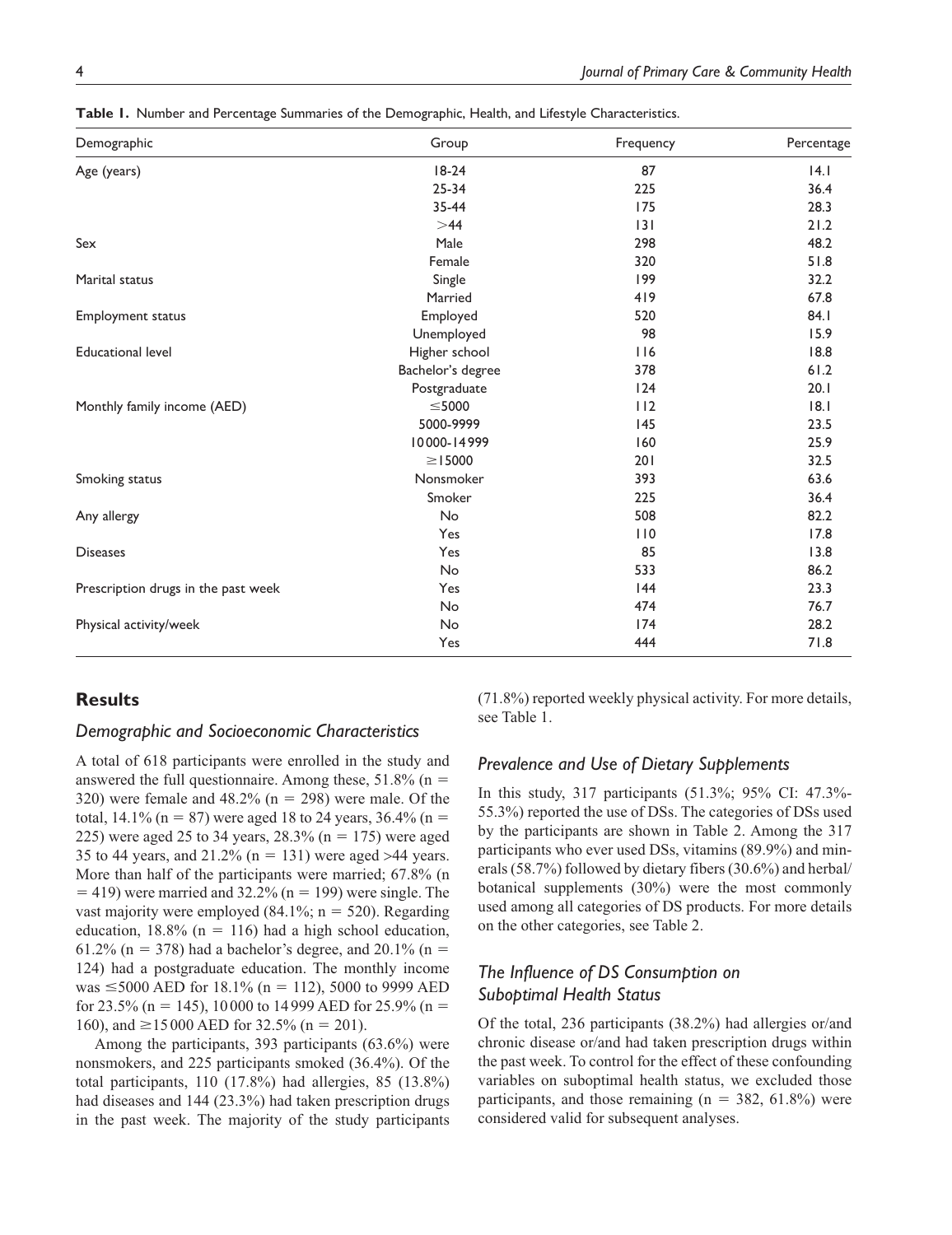| Demographic                         | Group             | Frequency | Percentage |
|-------------------------------------|-------------------|-----------|------------|
| Age (years)                         | $18-24$           | 87        | 4.1        |
|                                     | $25 - 34$         | 225       | 36.4       |
|                                     | 35-44             | 175       | 28.3       |
|                                     | $>\!\!44$         | 3         | 21.2       |
| Sex                                 | Male              | 298       | 48.2       |
|                                     | Female            | 320       | 51.8       |
| Marital status                      | Single            | 199       | 32.2       |
|                                     | Married           | 419       | 67.8       |
| <b>Employment status</b>            | Employed          | 520       | 84.I       |
|                                     | Unemployed        | 98        | 15.9       |
| <b>Educational level</b>            | Higher school     | 116       | 18.8       |
|                                     | Bachelor's degree | 378       | 61.2       |
|                                     | Postgraduate      | 124       | 20.1       |
| Monthly family income (AED)         | $\leq$ 5000       | 112       | 8.1        |
|                                     | 5000-9999         | 145       | 23.5       |
|                                     | 10000-14999       | 160       | 25.9       |
|                                     | $\geq$ 15000      | 201       | 32.5       |
| Smoking status                      | Nonsmoker         | 393       | 63.6       |
|                                     | Smoker            | 225       | 36.4       |
| Any allergy                         | No                | 508       | 82.2       |
|                                     | Yes               | 110       | 17.8       |
| <b>Diseases</b>                     | Yes               | 85        | 13.8       |
|                                     | No                | 533       | 86.2       |
| Prescription drugs in the past week | Yes               | 144       | 23.3       |
|                                     | No                | 474       | 76.7       |
| Physical activity/week              | No                | 174       | 28.2       |
|                                     | Yes               | 444       | 71.8       |

**Table 1.** Number and Percentage Summaries of the Demographic, Health, and Lifestyle Characteristics.

# **Results**

#### *Demographic and Socioeconomic Characteristics*

A total of 618 participants were enrolled in the study and answered the full questionnaire. Among these,  $51.8\%$  (n = 320) were female and  $48.2\%$  (n = 298) were male. Of the total, 14.1% (n = 87) were aged 18 to 24 years,  $36.4\%$  (n = 225) were aged 25 to 34 years,  $28.3\%$  (n = 175) were aged 35 to 44 years, and  $21.2\%$  (n = 131) were aged >44 years. More than half of the participants were married; 67.8% (n  $=$  419) were married and 32.2% (n = 199) were single. The vast majority were employed  $(84.1\%; n = 520)$ . Regarding education,  $18.8\%$  (n = 116) had a high school education, 61.2% (n = 378) had a bachelor's degree, and 20.1% (n = 124) had a postgraduate education. The monthly income was ≤5000 AED for 18.1% (n = 112), 5000 to 9999 AED for 23.5% (n = 145), 10000 to 14999 AED for 25.9% (n = 160), and ≥15 000 AED for 32.5% (n = 201).

Among the participants, 393 participants (63.6%) were nonsmokers, and 225 participants smoked (36.4%). Of the total participants, 110 (17.8%) had allergies, 85 (13.8%) had diseases and 144 (23.3%) had taken prescription drugs in the past week. The majority of the study participants (71.8%) reported weekly physical activity. For more details, see Table 1.

#### *Prevalence and Use of Dietary Supplements*

In this study, 317 participants (51.3%; 95% CI: 47.3%- 55.3%) reported the use of DSs. The categories of DSs used by the participants are shown in Table 2. Among the 317 participants who ever used DSs, vitamins (89.9%) and minerals (58.7%) followed by dietary fibers (30.6%) and herbal/ botanical supplements (30%) were the most commonly used among all categories of DS products. For more details on the other categories, see Table 2.

# *The Influence of DS Consumption on Suboptimal Health Status*

Of the total, 236 participants (38.2%) had allergies or/and chronic disease or/and had taken prescription drugs within the past week. To control for the effect of these confounding variables on suboptimal health status, we excluded those participants, and those remaining  $(n = 382, 61.8%)$  were considered valid for subsequent analyses.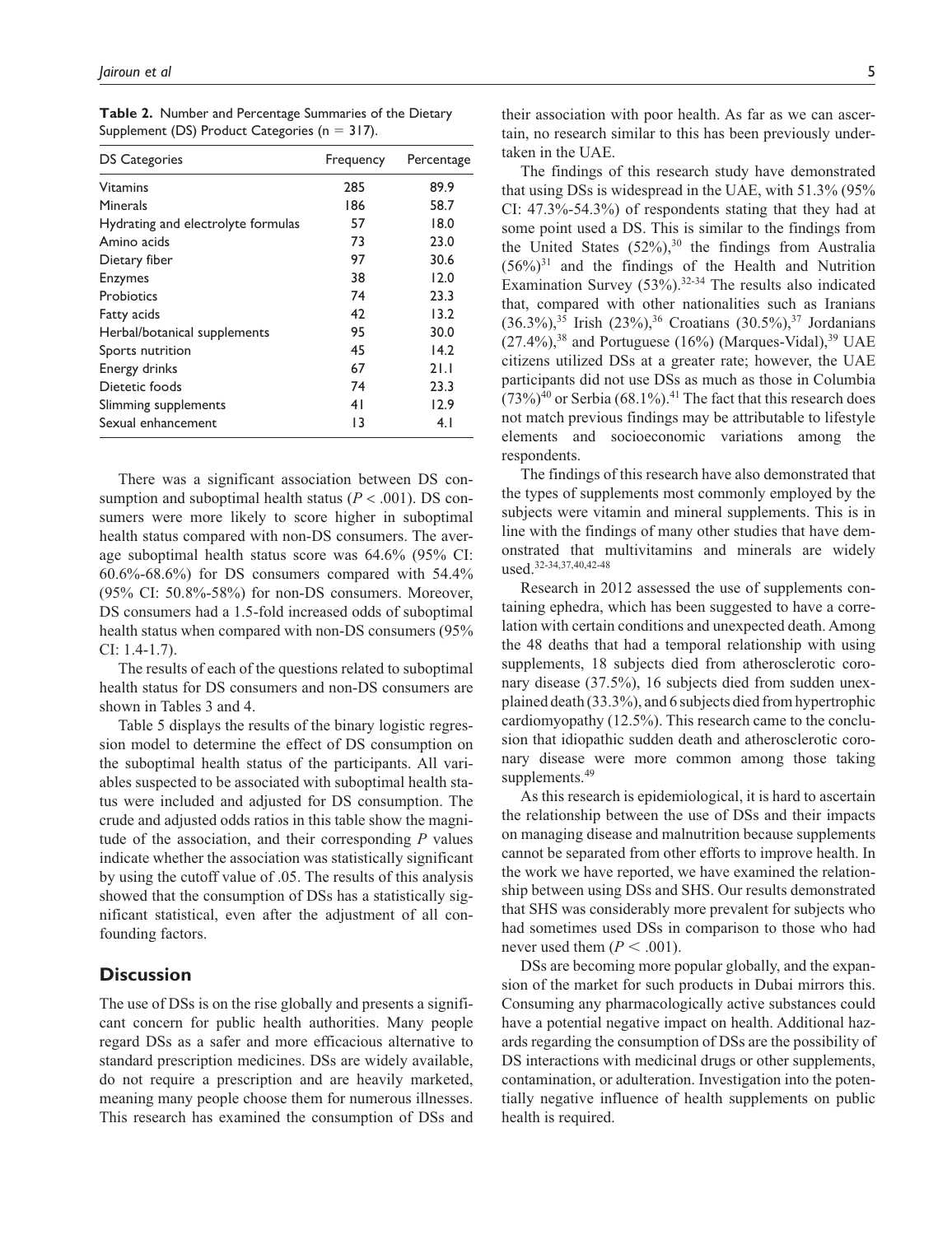| <b>DS Categories</b>               | Frequency | Percentage |  |
|------------------------------------|-----------|------------|--|
| Vitamins                           | 285       | 89.9       |  |
| Minerals                           | 186       | 58.7       |  |
| Hydrating and electrolyte formulas | 57        | 18.0       |  |
| Amino acids                        | 73        | 23.0       |  |
| Dietary fiber                      | 97        | 30.6       |  |
| <b>Enzymes</b>                     | 38        | 12.0       |  |
| Probiotics                         | 74        | 23.3       |  |
| Fatty acids                        | 42        | 13.2       |  |
| Herbal/botanical supplements       | 95        | 30.0       |  |
| Sports nutrition                   | 45        | 14.2       |  |
| Energy drinks                      | 67        | 21.1       |  |
| Dietetic foods                     | 74        | 23.3       |  |
| Slimming supplements               | 41        | 12.9       |  |
| Sexual enhancement                 | 13        | 4.1        |  |

**Table 2.** Number and Percentage Summaries of the Dietary Supplement (DS) Product Categories ( $n = 317$ ).

There was a significant association between DS consumption and suboptimal health status ( $P < .001$ ). DS consumers were more likely to score higher in suboptimal health status compared with non-DS consumers. The average suboptimal health status score was 64.6% (95% CI:  $60.6\% - 68.6\%$  for DS consumers compared with  $54.4\%$ (95% CI: 50.8%-58%) for non-DS consumers. Moreover, DS consumers had a 1.5-fold increased odds of suboptimal health status when compared with non-DS consumers (95% CI: 1.4-1.7).

The results of each of the questions related to suboptimal health status for DS consumers and non-DS consumers are shown in Tables 3 and 4.

Table 5 displays the results of the binary logistic regression model to determine the effect of DS consumption on the suboptimal health status of the participants. All variables suspected to be associated with suboptimal health status were included and adjusted for DS consumption. The crude and adjusted odds ratios in this table show the magnitude of the association, and their corresponding *P* values indicate whether the association was statistically significant by using the cutoff value of .05. The results of this analysis showed that the consumption of DSs has a statistically significant statistical, even after the adjustment of all confounding factors.

# **Discussion**

The use of DSs is on the rise globally and presents a significant concern for public health authorities. Many people regard DSs as a safer and more efficacious alternative to standard prescription medicines. DSs are widely available, do not require a prescription and are heavily marketed, meaning many people choose them for numerous illnesses. This research has examined the consumption of DSs and

their association with poor health. As far as we can ascertain, no research similar to this has been previously undertaken in the UAE.

The findings of this research study have demonstrated that using DSs is widespread in the UAE, with 51.3% (95% CI: 47.3%-54.3%) of respondents stating that they had at some point used a DS. This is similar to the findings from the United States  $(52\%)$ ,<sup>30</sup> the findings from Australia  $(56\%)$ <sup>31</sup> and the findings of the Health and Nutrition Examination Survey  $(53\%)$ .<sup>32-34</sup> The results also indicated that, compared with other nationalities such as Iranians  $(36.3\%)$ ,<sup>35</sup> Irish  $(23\%)$ ,<sup>36</sup> Croatians  $(30.5\%)$ ,<sup>37</sup> Jordanians  $(27.4\%)$ <sup>38</sup> and Portuguese (16%) (Marques-Vidal)<sup>39</sup> UAE citizens utilized DSs at a greater rate; however, the UAE participants did not use DSs as much as those in Columbia  $(73\%)^{40}$  or Serbia  $(68.1\%)^{41}$  The fact that this research does not match previous findings may be attributable to lifestyle elements and socioeconomic variations among the respondents.

The findings of this research have also demonstrated that the types of supplements most commonly employed by the subjects were vitamin and mineral supplements. This is in line with the findings of many other studies that have demonstrated that multivitamins and minerals are widely used.32-34,37,40,42-48

Research in 2012 assessed the use of supplements containing ephedra, which has been suggested to have a correlation with certain conditions and unexpected death. Among the 48 deaths that had a temporal relationship with using supplements, 18 subjects died from atherosclerotic coronary disease (37.5%), 16 subjects died from sudden unexplained death (33.3%), and 6 subjects died from hypertrophic cardiomyopathy (12.5%). This research came to the conclusion that idiopathic sudden death and atherosclerotic coronary disease were more common among those taking supplements.<sup>49</sup>

As this research is epidemiological, it is hard to ascertain the relationship between the use of DSs and their impacts on managing disease and malnutrition because supplements cannot be separated from other efforts to improve health. In the work we have reported, we have examined the relationship between using DSs and SHS. Our results demonstrated that SHS was considerably more prevalent for subjects who had sometimes used DSs in comparison to those who had never used them  $(P < .001)$ .

DSs are becoming more popular globally, and the expansion of the market for such products in Dubai mirrors this. Consuming any pharmacologically active substances could have a potential negative impact on health. Additional hazards regarding the consumption of DSs are the possibility of DS interactions with medicinal drugs or other supplements, contamination, or adulteration. Investigation into the potentially negative influence of health supplements on public health is required.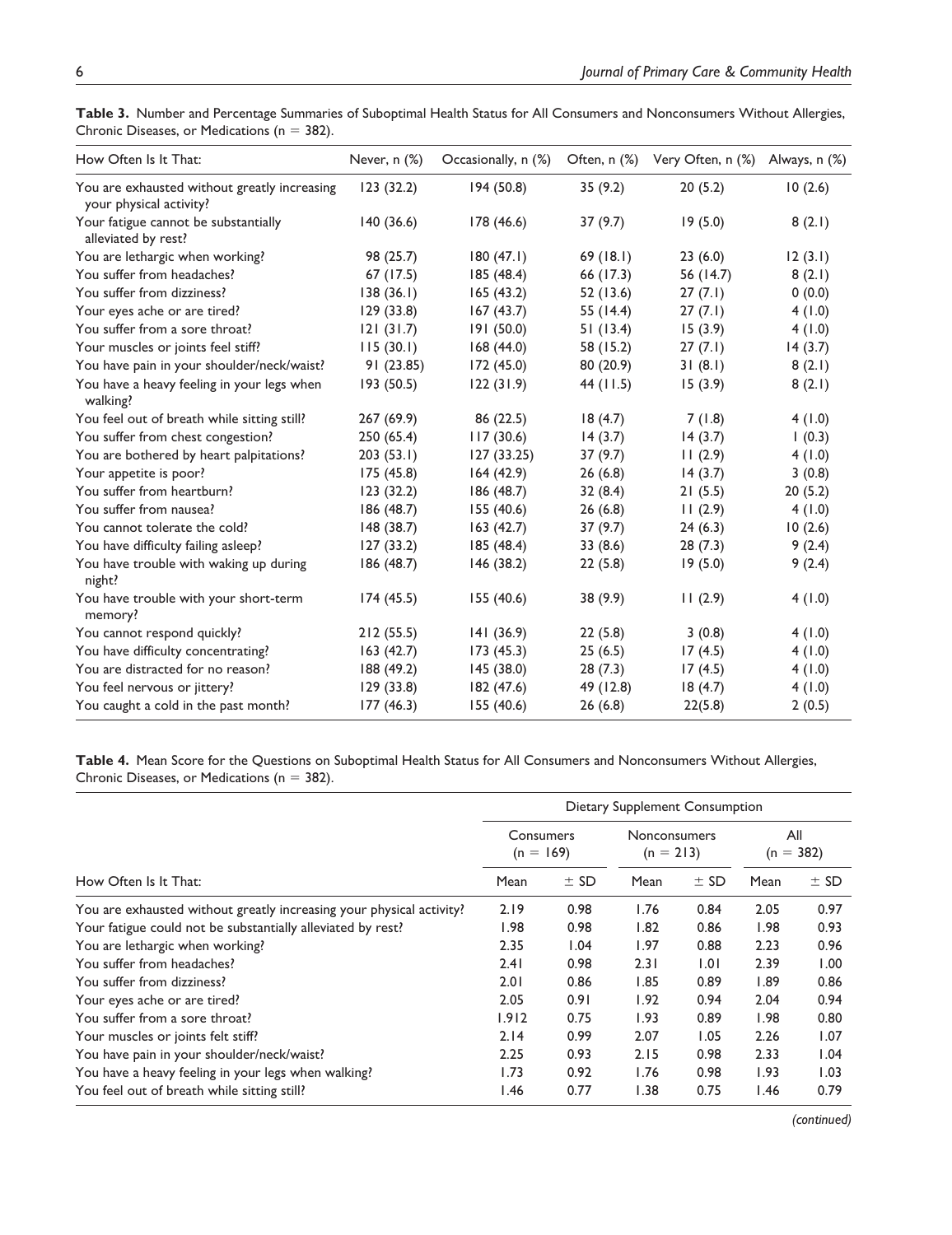| How Often Is It That:                                                   | Never, $n$ $%$ | Occasionally, n (%) |           | Often, n (%) Very Often, n (%) Always, n (%) |         |
|-------------------------------------------------------------------------|----------------|---------------------|-----------|----------------------------------------------|---------|
| You are exhausted without greatly increasing<br>your physical activity? | 123(32.2)      | 194 (50.8)          | 35(9.2)   | 20(5.2)                                      | 10(2.6) |
| Your fatigue cannot be substantially<br>alleviated by rest?             | 140(36.6)      | 178 (46.6)          | 37(9.7)   | 19(5.0)                                      | 8(2.1)  |
| You are lethargic when working?                                         | 98 (25.7)      | 180(47.1)           | 69(18.1)  | 23(6.0)                                      | 12(3.1) |
| You suffer from headaches?                                              | 67 (17.5)      | 185 (48.4)          | 66 (17.3) | 56 (14.7)                                    | 8(2.1)  |
| You suffer from dizziness?                                              | 138(36.1)      | 165(43.2)           | 52 (13.6) | 27(7.1)                                      | 0(0.0)  |
| Your eyes ache or are tired?                                            | 129(33.8)      | 167(43.7)           | 55 (14.4) | 27(7.1)                                      | 4(1.0)  |
| You suffer from a sore throat?                                          | 21(31.7)       | 191(50.0)           | 51(13.4)  | 15(3.9)                                      | 4(1.0)  |
| Your muscles or joints feel stiff?                                      | 115(30.1)      | 168(44.0)           | 58 (15.2) | 27(7.1)                                      | 14(3.7) |
| You have pain in your shoulder/neck/waist?                              | 91(23.85)      | 172 (45.0)          | 80 (20.9) | 31(8.1)                                      | 8(2.1)  |
| You have a heavy feeling in your legs when<br>walking?                  | 193(50.5)      | 122(31.9)           | 44 (11.5) | 15(3.9)                                      | 8(2.1)  |
| You feel out of breath while sitting still?                             | 267(69.9)      | 86 (22.5)           | 18(4.7)   | 7(1.8)                                       | 4(1.0)  |
| You suffer from chest congestion?                                       | 250(65.4)      | 117(30.6)           | 14(3.7)   | 14(3.7)                                      | (0.3)   |
| You are bothered by heart palpitations?                                 | 203(53.1)      | 127(33.25)          | 37(9.7)   | 11(2.9)                                      | 4(1.0)  |
| Your appetite is poor?                                                  | 175 (45.8)     | 164(42.9)           | 26(6.8)   | 14(3.7)                                      | 3(0.8)  |
| You suffer from heartburn?                                              | 123(32.2)      | 186 (48.7)          | 32(8.4)   | 21(5.5)                                      | 20(5.2) |
| You suffer from nausea?                                                 | 186 (48.7)     | 155 (40.6)          | 26(6.8)   | 11(2.9)                                      | 4(1.0)  |
| You cannot tolerate the cold?                                           | 148 (38.7)     | 163(42.7)           | 37(9.7)   | 24(6.3)                                      | 10(2.6) |
| You have difficulty failing asleep?                                     | 127(33.2)      | 185(48.4)           | 33(8.6)   | 28(7.3)                                      | 9(2.4)  |
| You have trouble with waking up during<br>night?                        | 186 (48.7)     | 146 (38.2)          | 22(5.8)   | 19(5.0)                                      | 9(2.4)  |
| You have trouble with your short-term<br>memory?                        | 174(45.5)      | 155 (40.6)          | 38 (9.9)  | 11(2.9)                                      | 4(1.0)  |
| You cannot respond quickly?                                             | 212(55.5)      | 141(36.9)           | 22(5.8)   | 3(0.8)                                       | 4(1.0)  |
| You have difficulty concentrating?                                      | 163(42.7)      | 173 (45.3)          | 25(6.5)   | 17(4.5)                                      | 4(1.0)  |
| You are distracted for no reason?                                       | 188 (49.2)     | 145 (38.0)          | 28(7.3)   | 17(4.5)                                      | 4(1.0)  |
| You feel nervous or jittery?                                            | 129(33.8)      | 182 (47.6)          | 49 (12.8) | 18(4.7)                                      | 4(1.0)  |
| You caught a cold in the past month?                                    | 177(46.3)      | 155 (40.6)          | 26(6.8)   | 22(5.8)                                      | 2(0.5)  |

**Table 3.** Number and Percentage Summaries of Suboptimal Health Status for All Consumers and Nonconsumers Without Allergies, Chronic Diseases, or Medications ( $n = 382$ ).

**Table 4.** Mean Score for the Questions on Suboptimal Health Status for All Consumers and Nonconsumers Without Allergies, Chronic Diseases, or Medications ( $n = 382$ ).

|                                                                      | Dietary Supplement Consumption |                          |      |                                    |      |                    |  |
|----------------------------------------------------------------------|--------------------------------|--------------------------|------|------------------------------------|------|--------------------|--|
|                                                                      |                                | Consumers<br>$(n = 169)$ |      | <b>Nonconsumers</b><br>$(n = 213)$ |      | All<br>$(n = 382)$ |  |
| How Often Is It That:                                                | Mean                           | $±$ SD                   | Mean | $±$ SD                             | Mean | $±$ SD             |  |
| You are exhausted without greatly increasing your physical activity? | 2.19                           | 0.98                     | 1.76 | 0.84                               | 2.05 | 0.97               |  |
| Your fatigue could not be substantially alleviated by rest?          | 1.98                           | 0.98                     | 1.82 | 0.86                               | 1.98 | 0.93               |  |
| You are lethargic when working?                                      | 2.35                           | 1.04                     | 1.97 | 0.88                               | 2.23 | 0.96               |  |
| You suffer from headaches?                                           | 2.41                           | 0.98                     | 2.31 | 1.01                               | 2.39 | 1.00               |  |
| You suffer from dizziness?                                           | 2.01                           | 0.86                     | 1.85 | 0.89                               | 1.89 | 0.86               |  |
| Your eyes ache or are tired?                                         | 2.05                           | 0.91                     | 1.92 | 0.94                               | 2.04 | 0.94               |  |
| You suffer from a sore throat?                                       | 1.912                          | 0.75                     | 1.93 | 0.89                               | 1.98 | 0.80               |  |
| Your muscles or joints felt stiff?                                   | 2.14                           | 0.99                     | 2.07 | 1.05                               | 2.26 | 1.07               |  |
| You have pain in your shoulder/neck/waist?                           | 2.25                           | 0.93                     | 2.15 | 0.98                               | 2.33 | 1.04               |  |
| You have a heavy feeling in your legs when walking?                  | 1.73                           | 0.92                     | 1.76 | 0.98                               | 1.93 | 1.03               |  |
| You feel out of breath while sitting still?                          | 1.46                           | 0.77                     | 1.38 | 0.75                               | 1.46 | 0.79               |  |

*(continued)*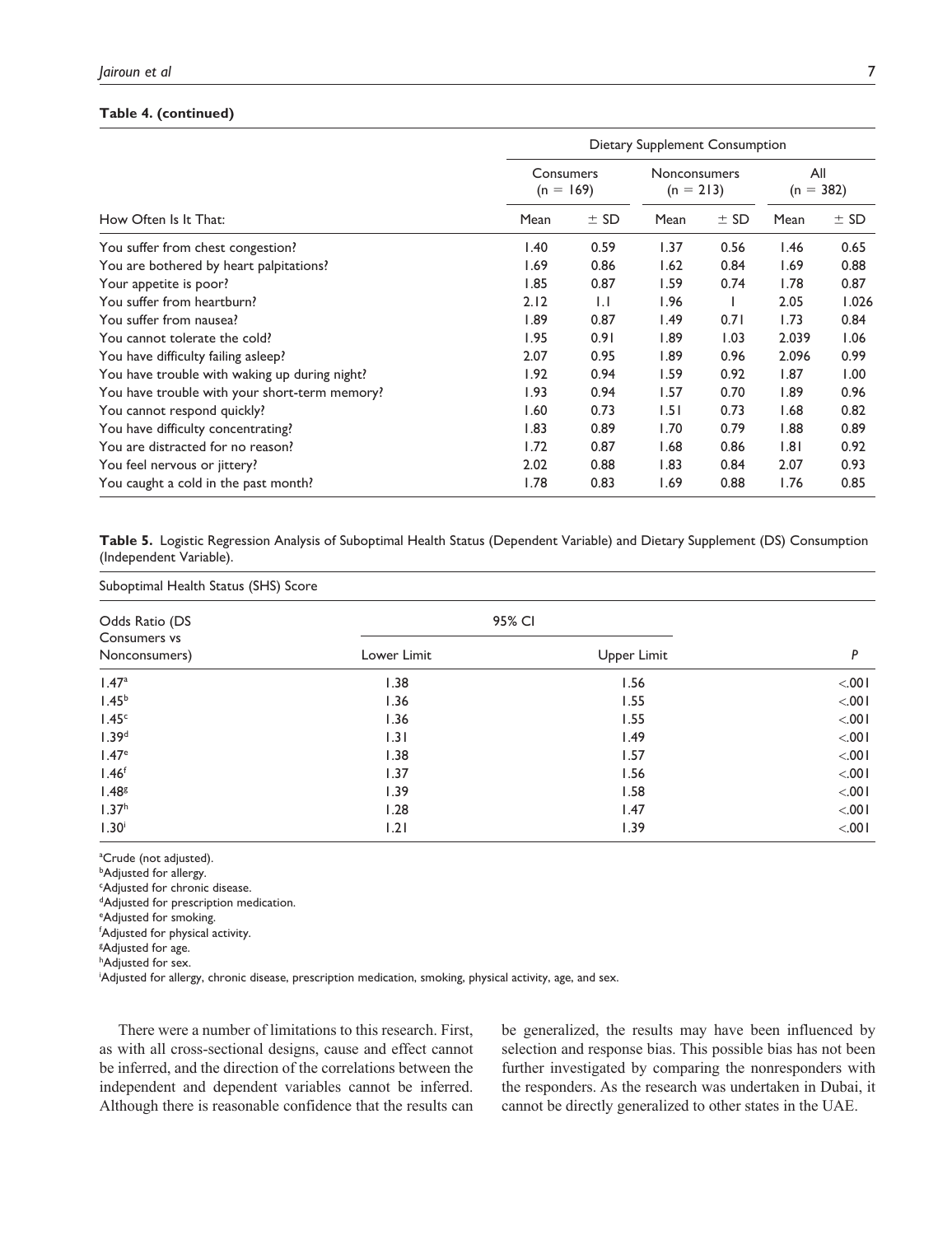#### **Table 4. (continued)**

|                                               | Dietary Supplement Consumption |              |                             |        |                    |        |
|-----------------------------------------------|--------------------------------|--------------|-----------------------------|--------|--------------------|--------|
|                                               | Consumers<br>$(n = 169)$       |              | Nonconsumers<br>$(n = 213)$ |        | All<br>$(n = 382)$ |        |
| How Often Is It That:                         | Mean                           | $±$ SD       | Mean                        | $±$ SD | Mean               | $±$ SD |
| You suffer from chest congestion?             | 1.40                           | 0.59         | 1.37                        | 0.56   | 1.46               | 0.65   |
| You are bothered by heart palpitations?       | 1.69                           | 0.86         | 1.62                        | 0.84   | 1.69               | 0.88   |
| Your appetite is poor?                        | 1.85                           | 0.87         | 1.59                        | 0.74   | 1.78               | 0.87   |
| You suffer from heartburn?                    | 2.12                           | $\mathsf{L}$ | 1.96                        |        | 2.05               | 1.026  |
| You suffer from nausea?                       | 1.89                           | 0.87         | 1.49                        | 0.71   | 1.73               | 0.84   |
| You cannot tolerate the cold?                 | 1.95                           | 0.91         | 1.89                        | 1.03   | 2.039              | 1.06   |
| You have difficulty failing asleep?           | 2.07                           | 0.95         | 1.89                        | 0.96   | 2.096              | 0.99   |
| You have trouble with waking up during night? | 1.92                           | 0.94         | 1.59                        | 0.92   | 1.87               | 1.00   |
| You have trouble with your short-term memory? | 1.93                           | 0.94         | 1.57                        | 0.70   | 1.89               | 0.96   |
| You cannot respond quickly?                   | 1.60                           | 0.73         | 1.51                        | 0.73   | 1.68               | 0.82   |
| You have difficulty concentrating?            | 1.83                           | 0.89         | 1.70                        | 0.79   | 1.88               | 0.89   |
| You are distracted for no reason?             | 1.72                           | 0.87         | 1.68                        | 0.86   | 1.81               | 0.92   |
| You feel nervous or jittery?                  | 2.02                           | 0.88         | 1.83                        | 0.84   | 2.07               | 0.93   |
| You caught a cold in the past month?          | 1.78                           | 0.83         | 1.69                        | 0.88   | 1.76               | 0.85   |

**Table 5.** Logistic Regression Analysis of Suboptimal Health Status (Dependent Variable) and Dietary Supplement (DS) Consumption (Independent Variable).

| Suboptimal Health Status (SHS) Score            |             |             |         |  |  |
|-------------------------------------------------|-------------|-------------|---------|--|--|
| Odds Ratio (DS<br>Consumers vs<br>Nonconsumers) |             | 95% CI      |         |  |  |
|                                                 | Lower Limit | Upper Limit | P       |  |  |
| 1.47 <sup>a</sup>                               | 1.38        | 1.56        | < 0.001 |  |  |
| 1.45 <sup>b</sup>                               | 1.36        | 1.55        | < 0.001 |  |  |
| 1.45 <sup>c</sup>                               | 1.36        | 1.55        | < 0.001 |  |  |
| 1.39 <sup>d</sup>                               | 1.31        | 1.49        | < 001   |  |  |
| 1.47 <sup>e</sup>                               | 1.38        | 1.57        | < 0.001 |  |  |
| 1.46 <sup>f</sup>                               | 1.37        | 1.56        | < 001   |  |  |
| 1.48 <sup>g</sup>                               | 1.39        | 1.58        | < 0.001 |  |  |
| 1.37 <sup>h</sup>                               | 1.28        | 1.47        | < 001   |  |  |
| 1.30 <sup>i</sup>                               | 1.21        | 1.39        | < 001   |  |  |

<sup>a</sup>Crude (not adjusted).

**bAdjusted for allergy.** 

<sup>c</sup>Adjusted for chronic disease.

<sup>d</sup>Adjusted for prescription medication.

<sup>e</sup>Adjusted for smoking. <sup>f</sup>Adjusted for physical activity.

<sup>g</sup>Adjusted for age. hAdjusted for sex.

iAdjusted for allergy, chronic disease, prescription medication, smoking, physical activity, age, and sex.

There were a number of limitations to this research. First, as with all cross-sectional designs, cause and effect cannot be inferred, and the direction of the correlations between the independent and dependent variables cannot be inferred. Although there is reasonable confidence that the results can be generalized, the results may have been influenced by selection and response bias. This possible bias has not been further investigated by comparing the nonresponders with the responders. As the research was undertaken in Dubai, it cannot be directly generalized to other states in the UAE.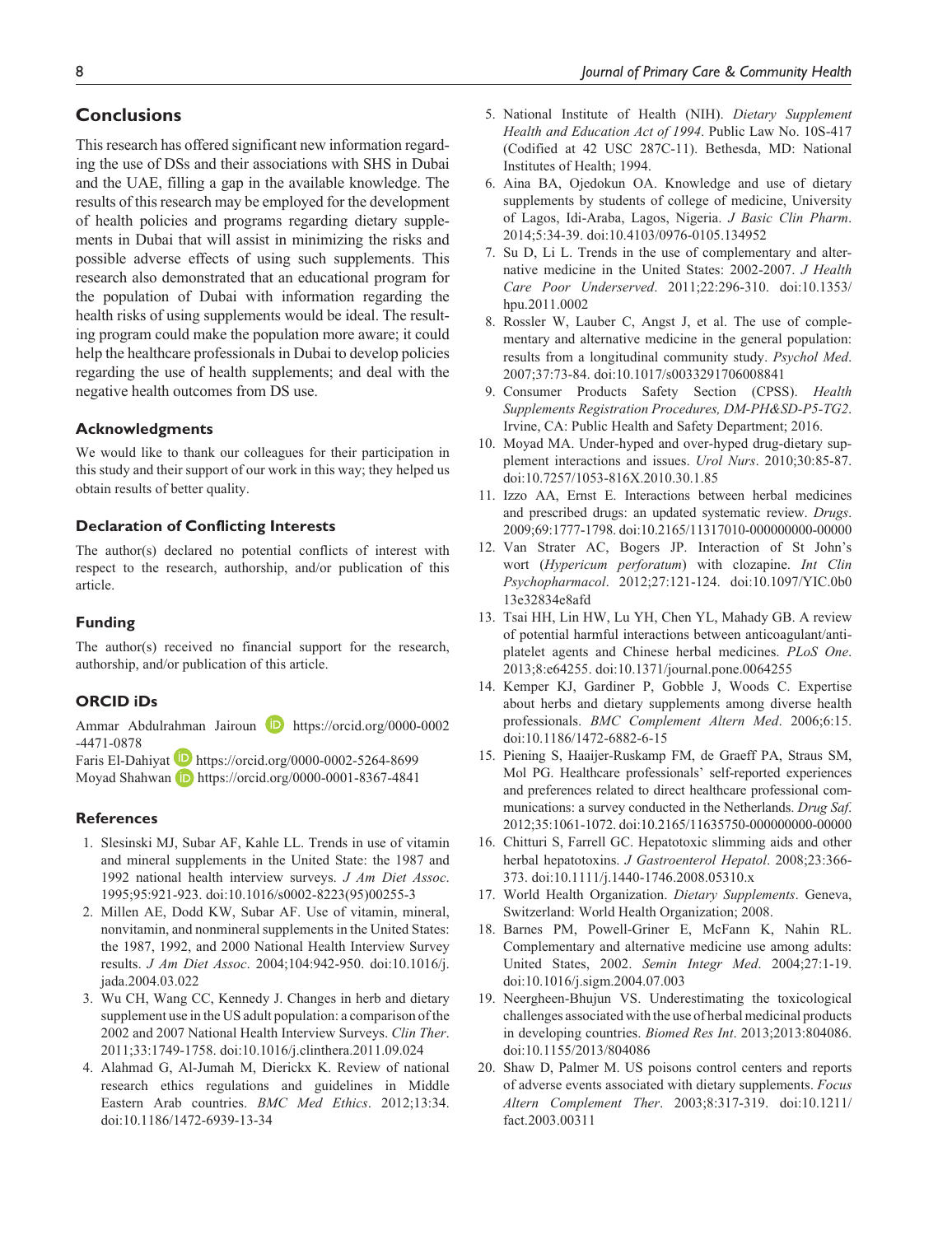# **Conclusions**

This research has offered significant new information regarding the use of DSs and their associations with SHS in Dubai and the UAE, filling a gap in the available knowledge. The results of this research may be employed for the development of health policies and programs regarding dietary supplements in Dubai that will assist in minimizing the risks and possible adverse effects of using such supplements. This research also demonstrated that an educational program for the population of Dubai with information regarding the health risks of using supplements would be ideal. The resulting program could make the population more aware; it could help the healthcare professionals in Dubai to develop policies regarding the use of health supplements; and deal with the negative health outcomes from DS use.

#### **Acknowledgments**

We would like to thank our colleagues for their participation in this study and their support of our work in this way; they helped us obtain results of better quality.

#### **Declaration of Conflicting Interests**

The author(s) declared no potential conflicts of interest with respect to the research, authorship, and/or publication of this article.

#### **Funding**

The author(s) received no financial support for the research, authorship, and/or publication of this article.

## **ORCID iDs**

Ammar Abdulrahman Jairoun **D** https://orcid.org/0000-0002 -4471-0878

Faris El-Dahiyat **D** https://orcid.org/0000-0002-5264-8699 Moyad Shahwan **b** https://orcid.org/0000-0001-8367-4841

#### **References**

- 1. Slesinski MJ, Subar AF, Kahle LL. Trends in use of vitamin and mineral supplements in the United State: the 1987 and 1992 national health interview surveys. *J Am Diet Assoc*. 1995;95:921-923. doi:10.1016/s0002-8223(95)00255-3
- 2. Millen AE, Dodd KW, Subar AF. Use of vitamin, mineral, nonvitamin, and nonmineral supplements in the United States: the 1987, 1992, and 2000 National Health Interview Survey results. *J Am Diet Assoc*. 2004;104:942-950. doi:10.1016/j. jada.2004.03.022
- 3. Wu CH, Wang CC, Kennedy J. Changes in herb and dietary supplement use in the US adult population: a comparison of the 2002 and 2007 National Health Interview Surveys. *Clin Ther*. 2011;33:1749-1758. doi:10.1016/j.clinthera.2011.09.024
- 4. Alahmad G, Al-Jumah M, Dierickx K. Review of national research ethics regulations and guidelines in Middle Eastern Arab countries. *BMC Med Ethics*. 2012;13:34. doi:10.1186/1472-6939-13-34
- 5. National Institute of Health (NIH). *Dietary Supplement Health and Education Act of 1994*. Public Law No. 10S-417 (Codified at 42 USC 287C-11). Bethesda, MD: National Institutes of Health; 1994.
- 6. Aina BA, Ojedokun OA. Knowledge and use of dietary supplements by students of college of medicine, University of Lagos, Idi-Araba, Lagos, Nigeria. *J Basic Clin Pharm*. 2014;5:34-39. doi:10.4103/0976-0105.134952
- 7. Su D, Li L. Trends in the use of complementary and alternative medicine in the United States: 2002-2007. *J Health Care Poor Underserved*. 2011;22:296-310. doi:10.1353/ hpu.2011.0002
- 8. Rossler W, Lauber C, Angst J, et al. The use of complementary and alternative medicine in the general population: results from a longitudinal community study. *Psychol Med*. 2007;37:73-84. doi:10.1017/s0033291706008841
- 9. Consumer Products Safety Section (CPSS). *Health Supplements Registration Procedures, DM-PH&SD-P5-TG2*. Irvine, CA: Public Health and Safety Department; 2016.
- 10. Moyad MA. Under-hyped and over-hyped drug-dietary supplement interactions and issues. *Urol Nurs*. 2010;30:85-87. doi:10.7257/1053-816X.2010.30.1.85
- 11. Izzo AA, Ernst E. Interactions between herbal medicines and prescribed drugs: an updated systematic review. *Drugs*. 2009;69:1777-1798. doi:10.2165/11317010-000000000-00000
- 12. Van Strater AC, Bogers JP. Interaction of St John's wort (*Hypericum perforatum*) with clozapine. *Int Clin Psychopharmacol*. 2012;27:121-124. doi:10.1097/YIC.0b0 13e32834e8afd
- 13. Tsai HH, Lin HW, Lu YH, Chen YL, Mahady GB. A review of potential harmful interactions between anticoagulant/antiplatelet agents and Chinese herbal medicines. *PLoS One*. 2013;8:e64255. doi:10.1371/journal.pone.0064255
- 14. Kemper KJ, Gardiner P, Gobble J, Woods C. Expertise about herbs and dietary supplements among diverse health professionals. *BMC Complement Altern Med*. 2006;6:15. doi:10.1186/1472-6882-6-15
- 15. Piening S, Haaijer-Ruskamp FM, de Graeff PA, Straus SM, Mol PG. Healthcare professionals' self-reported experiences and preferences related to direct healthcare professional communications: a survey conducted in the Netherlands. *Drug Saf*. 2012;35:1061-1072. doi:10.2165/11635750-000000000-00000
- 16. Chitturi S, Farrell GC. Hepatotoxic slimming aids and other herbal hepatotoxins. *J Gastroenterol Hepatol*. 2008;23:366- 373. doi:10.1111/j.1440-1746.2008.05310.x
- 17. World Health Organization. *Dietary Supplements*. Geneva, Switzerland: World Health Organization; 2008.
- 18. Barnes PM, Powell-Griner E, McFann K, Nahin RL. Complementary and alternative medicine use among adults: United States, 2002. *Semin Integr Med*. 2004;27:1-19. doi:10.1016/j.sigm.2004.07.003
- 19. Neergheen-Bhujun VS. Underestimating the toxicological challenges associated with the use of herbal medicinal products in developing countries. *Biomed Res Int*. 2013;2013:804086. doi:10.1155/2013/804086
- 20. Shaw D, Palmer M. US poisons control centers and reports of adverse events associated with dietary supplements. *Focus Altern Complement Ther*. 2003;8:317-319. doi:10.1211/ fact.2003.00311